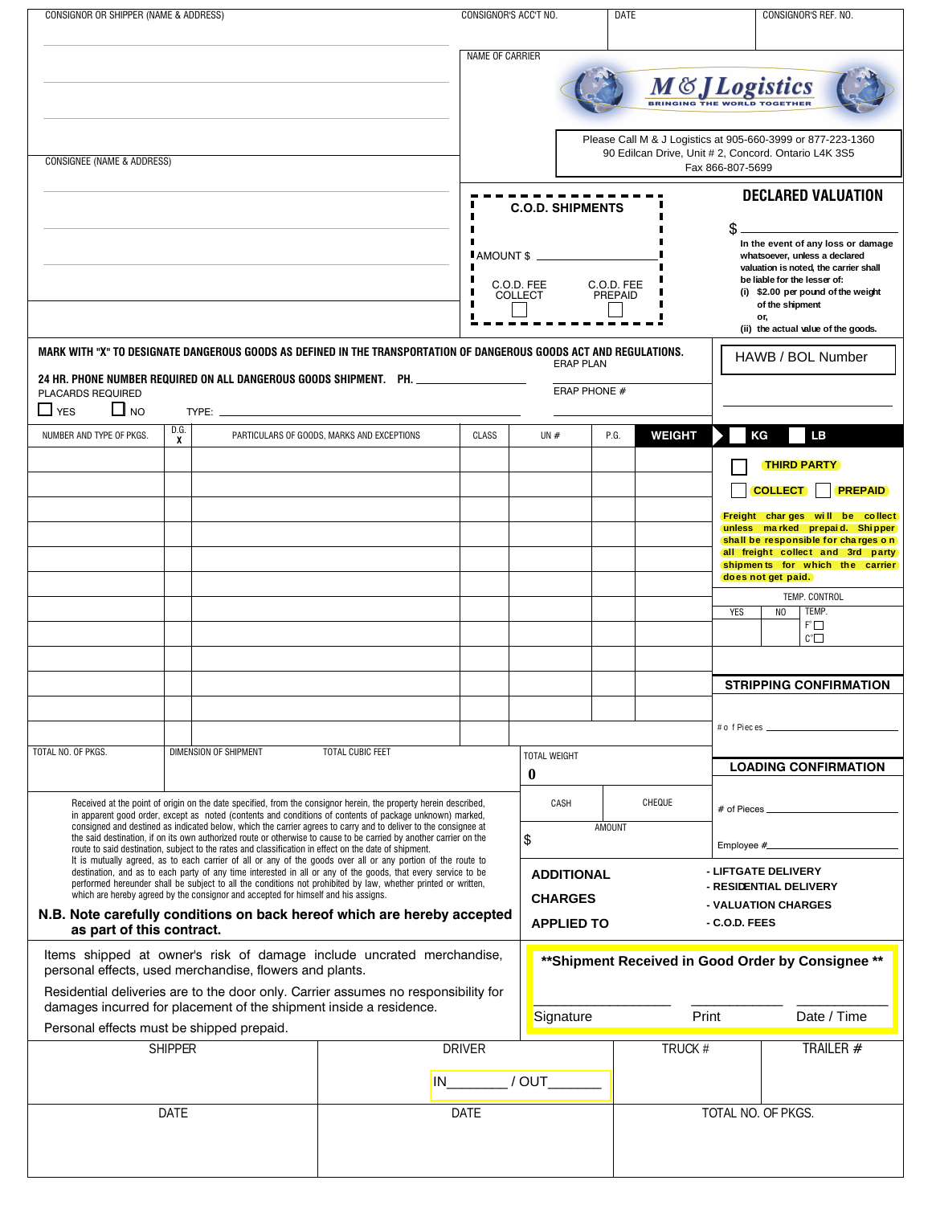| CONSIGNOR OR SHIPPER (NAME & ADDRESS)                                                                                                                                                                                                                                                                                                       |           |                                                                                                    | CONSIGNOR'S ACC'T NO.                      |                 |                                                                                                                                         | DATE                                               |                                                                                                                                                                                                                                                           |                           | CONSIGNOR'S REF. NO.                                   |                    |                                                                       |  |  |
|---------------------------------------------------------------------------------------------------------------------------------------------------------------------------------------------------------------------------------------------------------------------------------------------------------------------------------------------|-----------|----------------------------------------------------------------------------------------------------|--------------------------------------------|-----------------|-----------------------------------------------------------------------------------------------------------------------------------------|----------------------------------------------------|-----------------------------------------------------------------------------------------------------------------------------------------------------------------------------------------------------------------------------------------------------------|---------------------------|--------------------------------------------------------|--------------------|-----------------------------------------------------------------------|--|--|
|                                                                                                                                                                                                                                                                                                                                             |           |                                                                                                    |                                            | NAME OF CARRIER |                                                                                                                                         |                                                    |                                                                                                                                                                                                                                                           |                           |                                                        |                    |                                                                       |  |  |
|                                                                                                                                                                                                                                                                                                                                             |           |                                                                                                    |                                            |                 |                                                                                                                                         |                                                    |                                                                                                                                                                                                                                                           | <b>M&amp;JLogistics</b>   |                                                        |                    |                                                                       |  |  |
| <b>CONSIGNEE (NAME &amp; ADDRESS)</b>                                                                                                                                                                                                                                                                                                       |           |                                                                                                    |                                            |                 | Please Call M & J Logistics at 905-660-3999 or 877-223-1360<br>90 Edilcan Drive, Unit # 2, Concord. Ontario L4K 3S5<br>Fax 866-807-5699 |                                                    |                                                                                                                                                                                                                                                           |                           |                                                        |                    |                                                                       |  |  |
|                                                                                                                                                                                                                                                                                                                                             |           |                                                                                                    |                                            |                 |                                                                                                                                         |                                                    |                                                                                                                                                                                                                                                           | <b>DECLARED VALUATION</b> |                                                        |                    |                                                                       |  |  |
|                                                                                                                                                                                                                                                                                                                                             |           | <b>C.O.D. SHIPMENTS</b><br>AMOUNT \$<br>C.O.D. FEE<br>C.O.D. FEE<br>PREPAID<br><b>COLLECT</b><br>п |                                            |                 |                                                                                                                                         |                                                    | \$<br>In the event of any loss or damage<br>whatsoever, unless a declared<br>valuation is noted, the carrier shall<br>be liable for the lesser of:<br>(i) \$2.00 per pound of the weight<br>of the shipment<br>or,<br>(ii) the actual value of the goods. |                           |                                                        |                    |                                                                       |  |  |
| MARK WITH "X" TO DESIGNATE DANGEROUS GOODS AS DEFINED IN THE TRANSPORTATION OF DANGEROUS GOODS ACT AND REGULATIONS.                                                                                                                                                                                                                         |           |                                                                                                    |                                            |                 |                                                                                                                                         |                                                    |                                                                                                                                                                                                                                                           |                           |                                                        | HAWB / BOL Number  |                                                                       |  |  |
| 24 HR. PHONE NUMBER REQUIRED ON ALL DANGEROUS GOODS SHIPMENT. PH. ______________                                                                                                                                                                                                                                                            |           |                                                                                                    |                                            |                 | <b>ERAP PLAN</b>                                                                                                                        |                                                    |                                                                                                                                                                                                                                                           |                           |                                                        |                    |                                                                       |  |  |
| PLACARDS REQUIRED<br>$\Box$ YES<br>$\Box$ NO                                                                                                                                                                                                                                                                                                |           |                                                                                                    |                                            |                 |                                                                                                                                         |                                                    | ERAP PHONE #                                                                                                                                                                                                                                              |                           |                                                        |                    |                                                                       |  |  |
| NUMBER AND TYPE OF PKGS.                                                                                                                                                                                                                                                                                                                    | D.G.<br>X |                                                                                                    | PARTICULARS OF GOODS, MARKS AND EXCEPTIONS | CLASS           |                                                                                                                                         | UN $#$                                             | P.G.                                                                                                                                                                                                                                                      | <b>WEIGHT</b>             |                                                        | LB<br>ΚG           |                                                                       |  |  |
|                                                                                                                                                                                                                                                                                                                                             |           |                                                                                                    |                                            |                 |                                                                                                                                         |                                                    |                                                                                                                                                                                                                                                           |                           |                                                        | <b>THIRD PARTY</b> |                                                                       |  |  |
|                                                                                                                                                                                                                                                                                                                                             |           |                                                                                                    |                                            |                 |                                                                                                                                         |                                                    |                                                                                                                                                                                                                                                           |                           |                                                        | <b>COLLECT</b>     | <b>PREPAID</b>                                                        |  |  |
|                                                                                                                                                                                                                                                                                                                                             |           |                                                                                                    |                                            |                 |                                                                                                                                         |                                                    |                                                                                                                                                                                                                                                           |                           |                                                        |                    | Freight charges will be collect                                       |  |  |
|                                                                                                                                                                                                                                                                                                                                             |           |                                                                                                    |                                            |                 |                                                                                                                                         |                                                    |                                                                                                                                                                                                                                                           |                           |                                                        |                    | unless marked prepaid. Shipper<br>shall be responsible for charges on |  |  |
|                                                                                                                                                                                                                                                                                                                                             |           |                                                                                                    |                                            |                 |                                                                                                                                         |                                                    |                                                                                                                                                                                                                                                           |                           |                                                        | does not get paid. | all freight collect and 3rd party<br>shipments for which the carrier  |  |  |
|                                                                                                                                                                                                                                                                                                                                             |           |                                                                                                    |                                            |                 |                                                                                                                                         |                                                    |                                                                                                                                                                                                                                                           |                           | TEMP. CONTROL<br>TEMP.<br><b>YES</b><br>N <sub>0</sub> |                    |                                                                       |  |  |
|                                                                                                                                                                                                                                                                                                                                             |           |                                                                                                    |                                            |                 |                                                                                                                                         |                                                    |                                                                                                                                                                                                                                                           |                           | $F^{\circ}$<br>$\mathbb{C}^{\circ}$                    |                    |                                                                       |  |  |
|                                                                                                                                                                                                                                                                                                                                             |           |                                                                                                    |                                            |                 |                                                                                                                                         |                                                    |                                                                                                                                                                                                                                                           |                           |                                                        |                    |                                                                       |  |  |
|                                                                                                                                                                                                                                                                                                                                             |           |                                                                                                    |                                            |                 |                                                                                                                                         |                                                    |                                                                                                                                                                                                                                                           |                           |                                                        |                    | <b>STRIPPING CONFIRMATION</b>                                         |  |  |
|                                                                                                                                                                                                                                                                                                                                             |           |                                                                                                    |                                            |                 |                                                                                                                                         |                                                    |                                                                                                                                                                                                                                                           |                           |                                                        |                    |                                                                       |  |  |
| TOTAL NO. OF PKGS.                                                                                                                                                                                                                                                                                                                          |           | DIMENSION OF SHIPMENT                                                                              | TOTAL CUBIC FEET                           |                 |                                                                                                                                         |                                                    |                                                                                                                                                                                                                                                           |                           |                                                        |                    |                                                                       |  |  |
|                                                                                                                                                                                                                                                                                                                                             |           |                                                                                                    | <b>TOTAL WEIGHT</b><br>$\bf{0}$            |                 |                                                                                                                                         |                                                    |                                                                                                                                                                                                                                                           |                           |                                                        |                    | <b>LOADING CONFIRMATION</b>                                           |  |  |
| Received at the point of origin on the date specified, from the consignor herein, the property herein described,                                                                                                                                                                                                                            |           |                                                                                                    |                                            |                 |                                                                                                                                         | CASH                                               |                                                                                                                                                                                                                                                           | CHEQUE                    |                                                        |                    |                                                                       |  |  |
| in apparent good order, except as noted (contents and conditions of contents of package unknown) marked,<br>consigned and destined as indicated below, which the carrier agrees to carry and to deliver to the consignee at                                                                                                                 |           |                                                                                                    |                                            |                 | <b>AMOUNT</b>                                                                                                                           |                                                    |                                                                                                                                                                                                                                                           |                           | # of Pieces.                                           |                    |                                                                       |  |  |
| the said destination, if on its own authorized route or otherwise to cause to be carried by another carrier on the<br>route to said destination, subject to the rates and classification in effect on the date of shipment.<br>It is mutually agreed, as to each carrier of all or any of the goods over all or any portion of the route to |           |                                                                                                    |                                            |                 | \$                                                                                                                                      |                                                    |                                                                                                                                                                                                                                                           |                           | Employee #__                                           |                    |                                                                       |  |  |
| destination, and as to each party of any time interested in all or any of the goods, that every service to be<br>performed hereunder shall be subject to all the conditions not prohibited by law, whether printed or written,                                                                                                              |           |                                                                                                    |                                            |                 | <b>ADDITIONAL</b>                                                                                                                       |                                                    |                                                                                                                                                                                                                                                           |                           | - LIFTGATE DELIVERY<br>- RESIDENTIAL DELIVERY          |                    |                                                                       |  |  |
| which are hereby agreed by the consignor and accepted for himself and his assigns.<br>N.B. Note carefully conditions on back hereof which are hereby accepted                                                                                                                                                                               |           |                                                                                                    |                                            |                 | <b>CHARGES</b>                                                                                                                          |                                                    |                                                                                                                                                                                                                                                           |                           | - VALUATION CHARGES                                    |                    |                                                                       |  |  |
| as part of this contract.                                                                                                                                                                                                                                                                                                                   |           |                                                                                                    |                                            |                 |                                                                                                                                         | <b>APPLIED TO</b>                                  |                                                                                                                                                                                                                                                           | - C.O.D. FEES             |                                                        |                    |                                                                       |  |  |
| Items shipped at owner's risk of damage include uncrated merchandise,<br>personal effects, used merchandise, flowers and plants.                                                                                                                                                                                                            |           |                                                                                                    |                                            |                 |                                                                                                                                         | ** Shipment Received in Good Order by Consignee ** |                                                                                                                                                                                                                                                           |                           |                                                        |                    |                                                                       |  |  |
| Residential deliveries are to the door only. Carrier assumes no responsibility for<br>damages incurred for placement of the shipment inside a residence.                                                                                                                                                                                    |           |                                                                                                    |                                            |                 |                                                                                                                                         |                                                    |                                                                                                                                                                                                                                                           |                           |                                                        |                    |                                                                       |  |  |
| Personal effects must be shipped prepaid.                                                                                                                                                                                                                                                                                                   |           |                                                                                                    |                                            |                 |                                                                                                                                         | Signature                                          |                                                                                                                                                                                                                                                           | Print                     |                                                        |                    | Date / Time                                                           |  |  |
| <b>SHIPPER</b>                                                                                                                                                                                                                                                                                                                              |           |                                                                                                    | <b>DRIVER</b>                              |                 |                                                                                                                                         |                                                    |                                                                                                                                                                                                                                                           | TRUCK #<br>TRAILER #      |                                                        |                    |                                                                       |  |  |
|                                                                                                                                                                                                                                                                                                                                             |           | IN / OUT                                                                                           |                                            |                 |                                                                                                                                         |                                                    |                                                                                                                                                                                                                                                           |                           |                                                        |                    |                                                                       |  |  |
| <b>DATE</b>                                                                                                                                                                                                                                                                                                                                 |           |                                                                                                    | <b>DATE</b>                                |                 |                                                                                                                                         |                                                    | TOTAL NO. OF PKGS.                                                                                                                                                                                                                                        |                           |                                                        |                    |                                                                       |  |  |
|                                                                                                                                                                                                                                                                                                                                             |           |                                                                                                    |                                            |                 |                                                                                                                                         |                                                    |                                                                                                                                                                                                                                                           |                           |                                                        |                    |                                                                       |  |  |
|                                                                                                                                                                                                                                                                                                                                             |           |                                                                                                    |                                            |                 |                                                                                                                                         |                                                    |                                                                                                                                                                                                                                                           |                           |                                                        |                    |                                                                       |  |  |